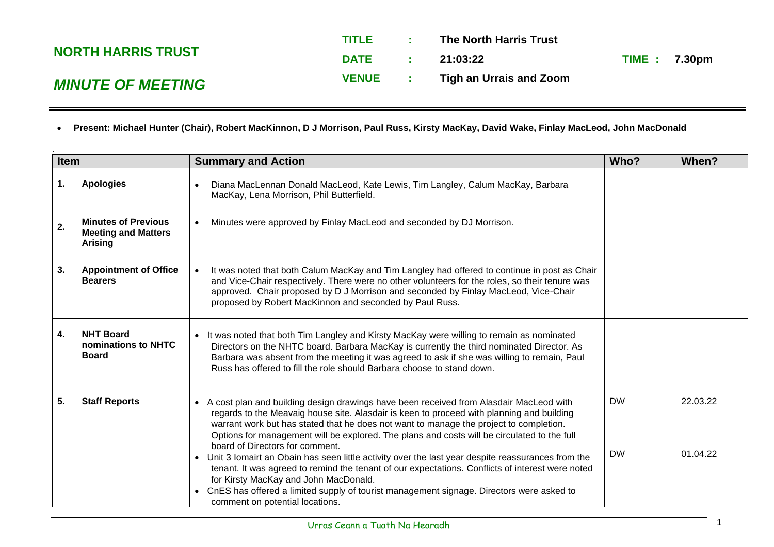|                           | <b>TITLE</b> | <b>Contract</b>          | The North Harris Trust  |                      |  |
|---------------------------|--------------|--------------------------|-------------------------|----------------------|--|
| <b>NORTH HARRIS TRUST</b> | <b>DATE</b>  | <b>Contract Contract</b> | 21:03:22                | <b>TIME : 7.30pm</b> |  |
| <b>MINUTE OF MEETING</b>  | <b>VENUE</b> |                          | Tigh an Urrais and Zoom |                      |  |

• **Present: Michael Hunter (Chair), Robert MacKinnon, D J Morrison, Paul Russ, Kirsty MacKay, David Wake, Finlay MacLeod, John MacDonald**

| <b>Item</b> |                                                                            | <b>Summary and Action</b>                                                                                                                                                                                                                                                                                                                                                                                                                                                                                                                                                                                                                                                                                                                                                                                                    |                        | When?                |
|-------------|----------------------------------------------------------------------------|------------------------------------------------------------------------------------------------------------------------------------------------------------------------------------------------------------------------------------------------------------------------------------------------------------------------------------------------------------------------------------------------------------------------------------------------------------------------------------------------------------------------------------------------------------------------------------------------------------------------------------------------------------------------------------------------------------------------------------------------------------------------------------------------------------------------------|------------------------|----------------------|
| 1.          | <b>Apologies</b>                                                           | Diana MacLennan Donald MacLeod, Kate Lewis, Tim Langley, Calum MacKay, Barbara<br>MacKay, Lena Morrison, Phil Butterfield.                                                                                                                                                                                                                                                                                                                                                                                                                                                                                                                                                                                                                                                                                                   |                        |                      |
| 2.          | <b>Minutes of Previous</b><br><b>Meeting and Matters</b><br><b>Arising</b> | Minutes were approved by Finlay MacLeod and seconded by DJ Morrison.                                                                                                                                                                                                                                                                                                                                                                                                                                                                                                                                                                                                                                                                                                                                                         |                        |                      |
| 3.          | <b>Appointment of Office</b><br><b>Bearers</b>                             | It was noted that both Calum MacKay and Tim Langley had offered to continue in post as Chair<br>and Vice-Chair respectively. There were no other volunteers for the roles, so their tenure was<br>approved. Chair proposed by D J Morrison and seconded by Finlay MacLeod, Vice-Chair<br>proposed by Robert MacKinnon and seconded by Paul Russ.                                                                                                                                                                                                                                                                                                                                                                                                                                                                             |                        |                      |
| 4.          | <b>NHT Board</b><br>nominations to NHTC<br><b>Board</b>                    | It was noted that both Tim Langley and Kirsty MacKay were willing to remain as nominated<br>Directors on the NHTC board. Barbara MacKay is currently the third nominated Director. As<br>Barbara was absent from the meeting it was agreed to ask if she was willing to remain, Paul<br>Russ has offered to fill the role should Barbara choose to stand down.                                                                                                                                                                                                                                                                                                                                                                                                                                                               |                        |                      |
| 5.          | <b>Staff Reports</b>                                                       | • A cost plan and building design drawings have been received from Alasdair MacLeod with<br>regards to the Meavaig house site. Alasdair is keen to proceed with planning and building<br>warrant work but has stated that he does not want to manage the project to completion.<br>Options for management will be explored. The plans and costs will be circulated to the full<br>board of Directors for comment.<br>Unit 3 Iomairt an Obain has seen little activity over the last year despite reassurances from the<br>$\bullet$<br>tenant. It was agreed to remind the tenant of our expectations. Conflicts of interest were noted<br>for Kirsty MacKay and John MacDonald.<br>CnES has offered a limited supply of tourist management signage. Directors were asked to<br>$\bullet$<br>comment on potential locations. | <b>DW</b><br><b>DW</b> | 22.03.22<br>01.04.22 |